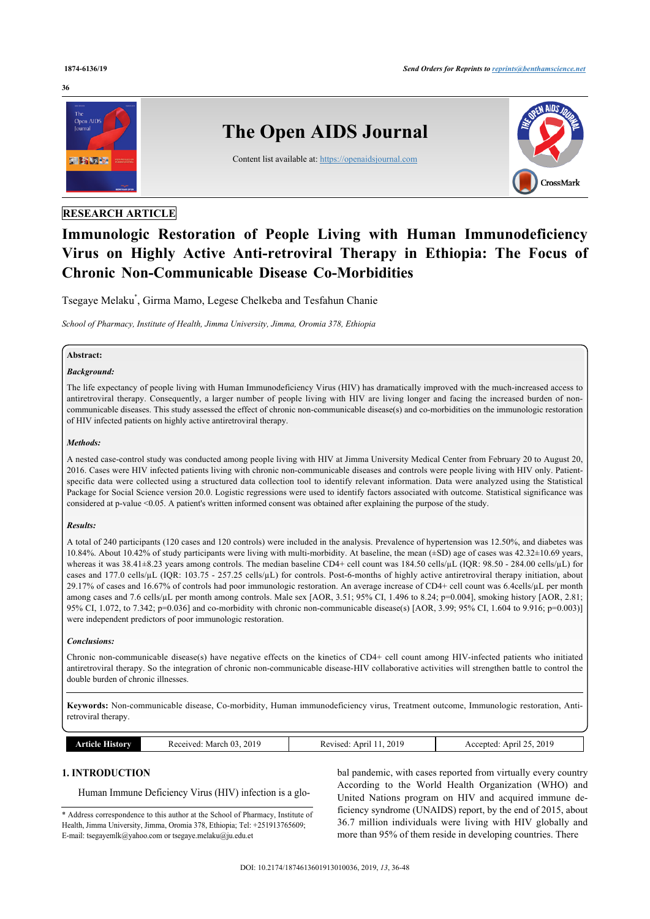#### **36**



# **RESEARCH ARTICLE**

# **Immunologic Restoration of People Living with Human Immunodeficiency Virus on Highly Active Anti-retroviral Therapy in Ethiopia: The Focus of Chronic Non-Communicable Disease Co-Morbidities**

Tsegaye Melaku[\\*](#page-0-0) , Girma Mamo, Legese Chelkeba and Tesfahun Chanie

*School of Pharmacy, Institute of Health, Jimma University, Jimma, Oromia 378, Ethiopia*

# **Abstract:**

#### *Background:*

The life expectancy of people living with Human Immunodeficiency Virus (HIV) has dramatically improved with the much-increased access to antiretroviral therapy. Consequently, a larger number of people living with HIV are living longer and facing the increased burden of noncommunicable diseases. This study assessed the effect of chronic non-communicable disease(s) and co-morbidities on the immunologic restoration of HIV infected patients on highly active antiretroviral therapy.

#### *Methods:*

A nested case-control study was conducted among people living with HIV at Jimma University Medical Center from February 20 to August 20, 2016. Cases were HIV infected patients living with chronic non-communicable diseases and controls were people living with HIV only. Patientspecific data were collected using a structured data collection tool to identify relevant information. Data were analyzed using the Statistical Package for Social Science version 20.0. Logistic regressions were used to identify factors associated with outcome. Statistical significance was considered at p-value <0.05. A patient's written informed consent was obtained after explaining the purpose of the study.

#### *Results:*

A total of 240 participants (120 cases and 120 controls) were included in the analysis. Prevalence of hypertension was 12.50%, and diabetes was 10.84%. About 10.42% of study participants were living with multi-morbidity. At baseline, the mean (±SD) age of cases was 42.32±10.69 years, whereas it was 38.41±8.23 years among controls. The median baseline CD4+ cell count was 184.50 cells/µL (IQR: 98.50 - 284.00 cells/µL) for cases and 177.0 cells/ $\mu$ L (IQR: 103.75 - 257.25 cells/ $\mu$ L) for controls. Post-6-months of highly active antiretroviral therapy initiation, about 29.17% of cases and 16.67% of controls had poor immunologic restoration. An average increase of CD4+ cell count was 6.4cells/µL per month among cases and 7.6 cells/µL per month among controls. Male sex [AOR, 3.51; 95% CI, 1.496 to 8.24; p=0.004], smoking history [AOR, 2.81; 95% CI, 1.072, to 7.342; p=0.036] and co-morbidity with chronic non-communicable disease(s) [AOR, 3.99; 95% CI, 1.604 to 9.916; p=0.003)] were independent predictors of poor immunologic restoration.

# *Conclusions:*

Chronic non-communicable disease(s) have negative effects on the kinetics of CD4+ cell count among HIV-infected patients who initiated antiretroviral therapy. So the integration of chronic non-communicable disease-HIV collaborative activities will strengthen battle to control the double burden of chronic illnesses.

**Keywords:** Non-communicable disease, Co-morbidity, Human immunodeficiency virus, Treatment outcome, Immunologic restoration, Antiretroviral therapy.

| <i>Recenved</i><br>WOUD.<br>. | 2019<br>March<br>Œ<br>$\sim$<br>`SCU<br>⊷™<br>. | 2010<br>April<br>AGC<br>$\mathbf{u}$<br>. | 2019<br>Anri<br>ccented<br>---<br>. |
|-------------------------------|-------------------------------------------------|-------------------------------------------|-------------------------------------|
|-------------------------------|-------------------------------------------------|-------------------------------------------|-------------------------------------|

# **1. INTRODUCTION**

Human Immune Deficiency Virus (HIV) infection is a glo-

<span id="page-0-0"></span>\* Address correspondence to this author at the School of Pharmacy, Institute of Health, [Jimma University, Jimma](mailto:tsegayemlk@yahoo.com), [Oromia 378, Ethiopia; Tel:](mailto:tsegaye.melaku@ju.edu.et) +251913765609; E-mail: tsegayemlk@yahoo.com or tsegaye.melaku@ju.edu.et

bal pandemic, with cases reported from virtually every country According to the World Health Organization (WHO) and United Nations program on HIV and acquired immune deficiency syndrome (UNAIDS) report, by the end of 2015, about 36.7 million individuals were living with HIV globally and more than 95% of them reside in developing countries. There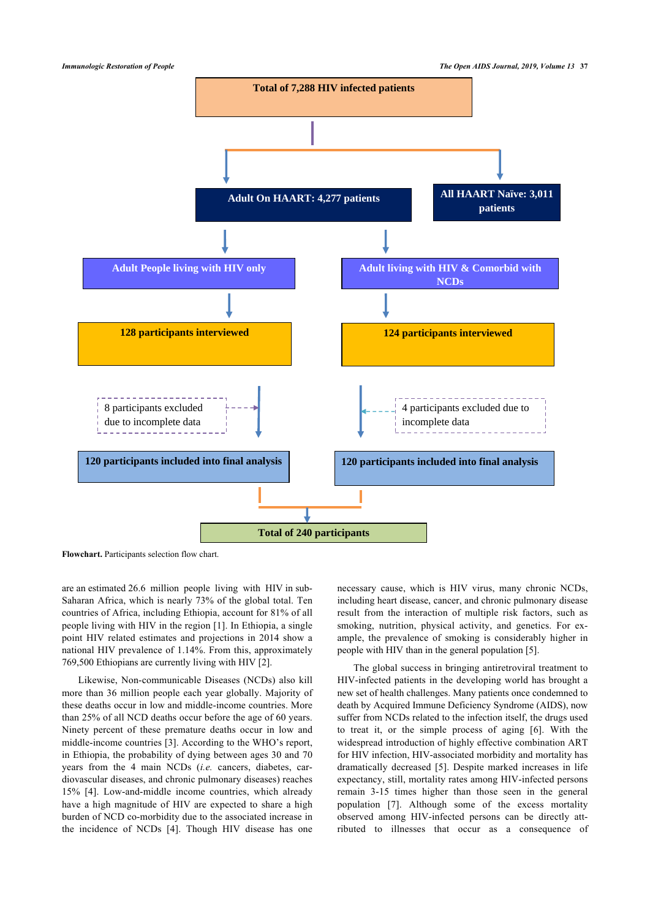

**Flowchart.** Participants selection flow chart.

are an estimated 26.6 million people living with HIV in sub-Saharan Africa, which is nearly 73% of the global total. Ten countries of Africa, including Ethiopia, account for 81% of all people living with HIV in the region [[1](#page-10-0)]. In Ethiopia, a single point HIV related estimates and projections in 2014 show a national HIV prevalence of 1.14%. From this, approximately 769,500 Ethiopians are currently living with HIV [[2](#page-10-1)].

Likewise, Non-communicable Diseases (NCDs) also kill more than 36 million people each year globally. Majority of these deaths occur in low and middle-income countries. More than 25% of all NCD deaths occur before the age of 60 years. Ninety percent of these premature deaths occur in low and middle-income countries [[3\]](#page-10-2). According to the WHO's report, in Ethiopia, the probability of dying between ages 30 and 70 years from the 4 main NCDs (*i.e.* cancers, diabetes, cardiovascular diseases, and chronic pulmonary diseases) reaches 15%[[4](#page-10-3)]. Low-and-middle income countries, which already have a high magnitude of HIV are expected to share a high burden of NCD co-morbidity due to the associated increase in the incidence of NCDs[[4](#page-10-3)]. Though HIV disease has one

necessary cause, which is HIV virus, many chronic NCDs, including heart disease, cancer, and chronic pulmonary disease result from the interaction of multiple risk factors, such as smoking, nutrition, physical activity, and genetics. For example, the prevalence of smoking is considerably higher in people with HIV than in the general population [\[5\]](#page-10-4).

The global success in bringing antiretroviral treatment to HIV-infected patients in the developing world has brought a new set of health challenges. Many patients once condemned to death by Acquired Immune Deficiency Syndrome (AIDS), now suffer from NCDs related to the infection itself, the drugs used to treat it, or the simple process of aging[[6](#page-10-5)]. With the widespread introduction of highly effective combination ART for HIV infection, HIV-associated morbidity and mortality has dramatically decreased[[5](#page-10-4)]. Despite marked increases in life expectancy, still, mortality rates among HIV-infected persons remain 3-15 times higher than those seen in the general population [\[7\]](#page-10-6). Although some of the excess mortality observed among HIV-infected persons can be directly attributed to illnesses that occur as a consequence of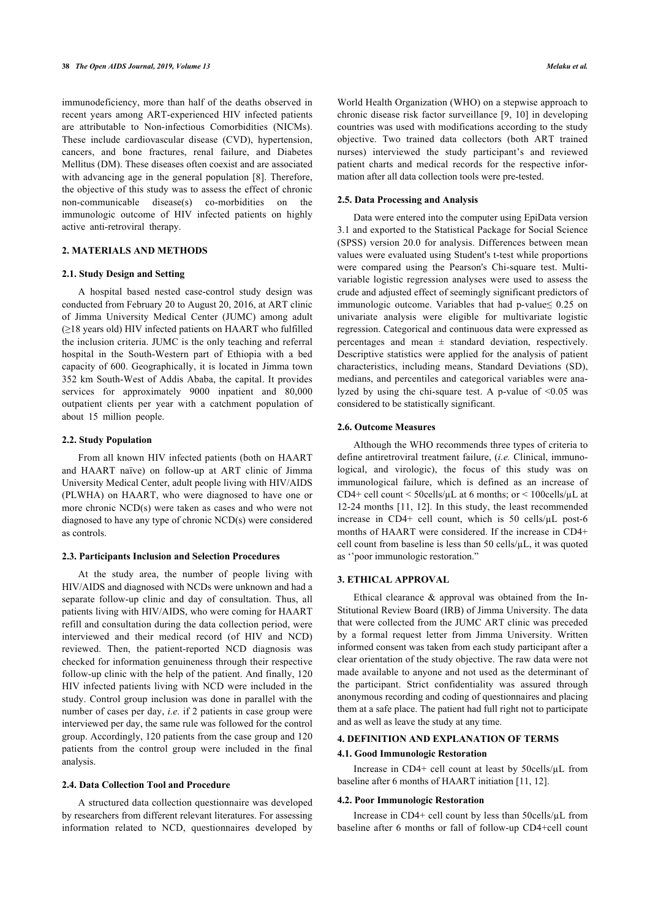immunodeficiency, more than half of the deaths observed in recent years among ART-experienced HIV infected patients are attributable to Non-infectious Comorbidities (NICMs). These include cardiovascular disease (CVD), hypertension, cancers, and bone fractures, renal failure, and Diabetes Mellitus (DM). These diseases often coexist and are associated with advancing age in the general population [\[8](#page-11-0)]. Therefore, the objective of this study was to assess the effect of chronic non-communicable disease(s) co-morbidities on the immunologic outcome of HIV infected patients on highly active anti-retroviral therapy.

# **2. MATERIALS AND METHODS**

#### **2.1. Study Design and Setting**

A hospital based nested case-control study design was conducted from February 20 to August 20, 2016, at ART clinic of Jimma University Medical Center (JUMC) among adult (≥18 years old) HIV infected patients on HAART who fulfilled the inclusion criteria. JUMC is the only teaching and referral hospital in the South-Western part of Ethiopia with a bed capacity of 600. Geographically, it is located in Jimma town 352 km South-West of Addis Ababa, the capital. It provides services for approximately 9000 inpatient and 80,000 outpatient clients per year with a catchment population of about 15 million people.

#### **2.2. Study Population**

From all known HIV infected patients (both on HAART and HAART naïve) on follow-up at ART clinic of Jimma University Medical Center, adult people living with HIV/AIDS (PLWHA) on HAART, who were diagnosed to have one or more chronic NCD(s) were taken as cases and who were not diagnosed to have any type of chronic NCD(s) were considered as controls.

# **2.3. Participants Inclusion and Selection Procedures**

At the study area, the number of people living with HIV/AIDS and diagnosed with NCDs were unknown and had a separate follow-up clinic and day of consultation. Thus, all patients living with HIV/AIDS, who were coming for HAART refill and consultation during the data collection period, were interviewed and their medical record (of HIV and NCD) reviewed. Then, the patient-reported NCD diagnosis was checked for information genuineness through their respective follow-up clinic with the help of the patient. And finally, 120 HIV infected patients living with NCD were included in the study. Control group inclusion was done in parallel with the number of cases per day, *i.e.* if 2 patients in case group were interviewed per day, the same rule was followed for the control group. Accordingly, 120 patients from the case group and 120 patients from the control group were included in the final analysis.

# **2.4. Data Collection Tool and Procedure**

A structured data collection questionnaire was developed by researchers from different relevant literatures. For assessing information related to NCD, questionnaires developed by

World Health Organization (WHO) on a stepwise approach to chronic disease risk factor surveillance [[9,](#page-11-1) [10](#page-11-2)] in developing countries was used with modifications according to the study objective. Two trained data collectors (both ART trained nurses) interviewed the study participant's and reviewed patient charts and medical records for the respective information after all data collection tools were pre-tested.

# **2.5. Data Processing and Analysis**

Data were entered into the computer using EpiData version 3.1 and exported to the Statistical Package for Social Science (SPSS) version 20.0 for analysis. Differences between mean values were evaluated using Student's t-test while proportions were compared using the Pearson's Chi-square test. Multivariable logistic regression analyses were used to assess the crude and adjusted effect of seemingly significant predictors of immunologic outcome. Variables that had p-value≤ 0.25 on univariate analysis were eligible for multivariate logistic regression. Categorical and continuous data were expressed as percentages and mean  $\pm$  standard deviation, respectively. Descriptive statistics were applied for the analysis of patient characteristics, including means, Standard Deviations (SD), medians, and percentiles and categorical variables were analyzed by using the chi-square test. A p-value of  $\leq 0.05$  was considered to be statistically significant.

# **2.6. Outcome Measures**

Although the WHO recommends three types of criteria to define antiretroviral treatment failure, (*i.e.* Clinical, immunological, and virologic), the focus of this study was on immunological failure, which is defined as an increase of CD4+ cell count < 50cells/µL at 6 months; or < 100cells/µL at 12-24 months [[11](#page-11-3), [12\]](#page-11-4). In this study, the least recommended increase in CD4+ cell count, which is 50 cells/µL post-6 months of HAART were considered. If the increase in CD4+ cell count from baseline is less than 50 cells/µL, it was quoted as ''poor immunologic restoration."

# **3. ETHICAL APPROVAL**

Ethical clearance  $\&$  approval was obtained from the In-Stitutional Review Board (IRB) of Jimma University. The data that were collected from the JUMC ART clinic was preceded by a formal request letter from Jimma University. Written informed consent was taken from each study participant after a clear orientation of the study objective. The raw data were not made available to anyone and not used as the determinant of the participant. Strict confidentiality was assured through anonymous recording and coding of questionnaires and placing them at a safe place. The patient had full right not to participate and as well as leave the study at any time.

# **4. DEFINITION AND EXPLANATION OF TERMS**

#### **4.1. Good Immunologic Restoration**

Increase in CD4+ cell count at least by 50cells/µL from baseline after 6 months of HAART initiation [[11,](#page-11-3) [12](#page-11-4)].

#### **4.2. Poor Immunologic Restoration**

Increase in CD4+ cell count by less than 50cells/µL from baseline after 6 months or fall of follow-up CD4+cell count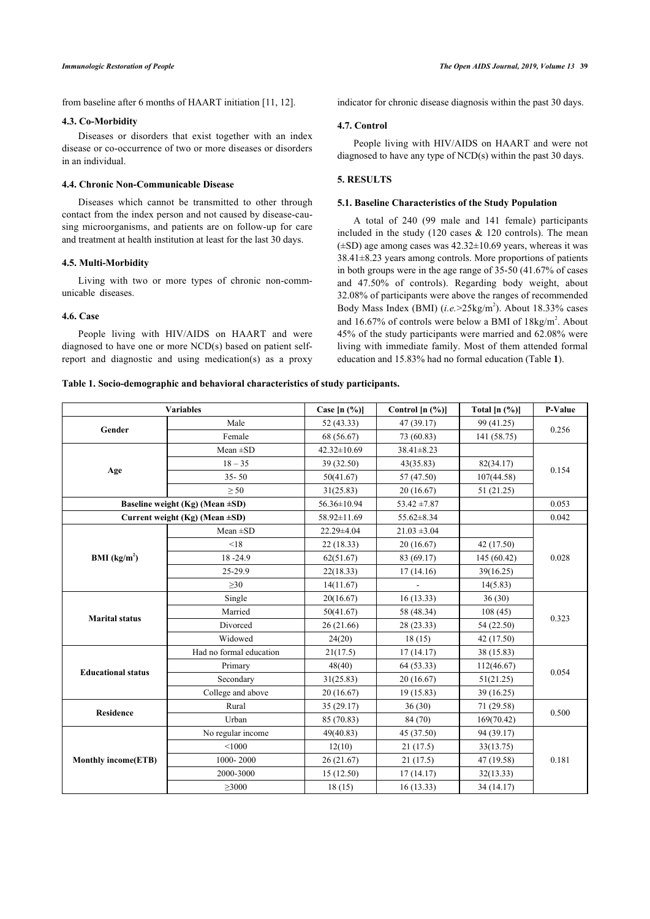from baseline after 6 months of HAART initiation [\[11](#page-11-3), [12\]](#page-11-4).

#### **4.3. Co-Morbidity**

Diseases or disorders that exist together with an index disease or co-occurrence of two or more diseases or disorders in an individual.

# **4.4. Chronic Non-Communicable Disease**

Diseases which cannot be transmitted to other through contact from the index person and not caused by disease-causing microorganisms, and patients are on follow-up for care and treatment at health institution at least for the last 30 days.

#### **4.5. Multi-Morbidity**

Living with two or more types of chronic non-communicable diseases.

# **4.6. Case**

People living with HIV/AIDS on HAART and were diagnosed to have one or more NCD(s) based on patient selfreport and diagnostic and using medication(s) as a proxy indicator for chronic disease diagnosis within the past 30 days.

# **4.7. Control**

People living with HIV/AIDS on HAART and were not diagnosed to have any type of NCD(s) within the past 30 days.

## **5. RESULTS**

#### **5.1. Baseline Characteristics of the Study Population**

A total of 240 (99 male and 141 female) participants included in the study (120 cases  $& 120$  controls). The mean  $(\pm SD)$  age among cases was  $42.32\pm10.69$  years, whereas it was 38.41±8.23 years among controls. More proportions of patients in both groups were in the age range of 35-50 (41.67% of cases and 47.50% of controls). Regarding body weight, about 32.08% of participants were above the ranges of recommended Body Mass Index (BMI)  $(i.e. > 25 \text{kg/m}^2)$ . About 18.33% cases and  $16.67\%$  of controls were below a BMI of  $18\text{kg/m}^2$ . About 45% of the study participants were married and 62.08% were living with immediate family. Most of them attended formal education and 15.83% had no formal education (Table **[1](#page-3-0)**).

#### <span id="page-3-0"></span>**Table 1. Socio-demographic and behavioral characteristics of study participants.**

|                                       | <b>Variables</b>               | Case $[n (%)]$    | Control $[n (%)]$ | Total $[n (%)]$ | P-Value |  |
|---------------------------------------|--------------------------------|-------------------|-------------------|-----------------|---------|--|
| Gender                                | Male                           | 52 (43.33)        | 47 (39.17)        | 99 (41.25)      | 0.256   |  |
|                                       | Female                         | 68 (56.67)        | 73 (60.83)        | 141 (58.75)     |         |  |
|                                       | $Mean \pm SD$                  | $42.32 \pm 10.69$ | $38.41 \pm 8.23$  |                 | 0.154   |  |
| Age                                   | $18 - 35$                      | 39 (32.50)        | 43(35.83)         | 82(34.17)       |         |  |
|                                       | $35 - 50$                      | 50(41.67)         | 57 (47.50)        | 107(44.58)      |         |  |
|                                       | $\geq$ 50                      | 31(25.83)         | 20(16.67)         | 51 (21.25)      |         |  |
| Baseline weight (Kg) (Mean $\pm SD$ ) |                                | 56.36±10.94       | $53.42 \pm 7.87$  |                 | 0.053   |  |
|                                       | Current weight (Kg) (Mean ±SD) | 58.92±11.69       | $55.62 \pm 8.34$  |                 | 0.042   |  |
| BMI (kg/m <sup>2</sup> )              | $Mean \pm SD$                  | 22.29±4.04        | $21.03 \pm 3.04$  |                 |         |  |
|                                       | < 18                           | 22(18.33)         | 20(16.67)         | 42 (17.50)      |         |  |
|                                       | 18-24.9                        | 62(51.67)         | 83 (69.17)        | 145 (60.42)     | 0.028   |  |
|                                       | 25-29.9                        | 22(18.33)         | 17(14.16)         | 39(16.25)       |         |  |
|                                       | $\geq 30$                      | 14(11.67)         |                   | 14(5.83)        |         |  |
| <b>Marital status</b>                 | Single                         | 20(16.67)         | 16(13.33)         | 36(30)          |         |  |
|                                       | Married                        | 50(41.67)         | 58 (48.34)        | 108(45)         | 0.323   |  |
|                                       | Divorced                       | 26 (21.66)        | 28 (23.33)        | 54 (22.50)      |         |  |
|                                       | Widowed                        | 24(20)            | 18(15)            | 42 (17.50)      |         |  |
|                                       | Had no formal education        | 21(17.5)          | 17(14.17)         | 38 (15.83)      |         |  |
| <b>Educational status</b>             | Primary                        | 48(40)            | 64(53.33)         | 112(46.67)      | 0.054   |  |
|                                       | Secondary                      | 31(25.83)         | 20(16.67)         | 51(21.25)       |         |  |
|                                       | College and above              | 20(16.67)         | 19(15.83)         | 39 (16.25)      |         |  |
| <b>Residence</b>                      | Rural                          | 35 (29.17)        | 36(30)            | 71 (29.58)      | 0.500   |  |
|                                       | Urban                          | 85 (70.83)        | 84 (70)           | 169(70.42)      |         |  |
|                                       | No regular income              | 49(40.83)         | 45 (37.50)        | 94 (39.17)      |         |  |
|                                       | < 1000                         | 12(10)            | 21(17.5)          | 33(13.75)       |         |  |
| <b>Monthly income(ETB)</b>            | 1000-2000                      | 26(21.67)         | 21(17.5)          | 47 (19.58)      | 0.181   |  |
|                                       | 2000-3000                      | 15(12.50)         | 17(14.17)         | 32(13.33)       |         |  |
|                                       | $\geq$ 3000                    | 18(15)            | 16(13.33)         | 34 (14.17)      |         |  |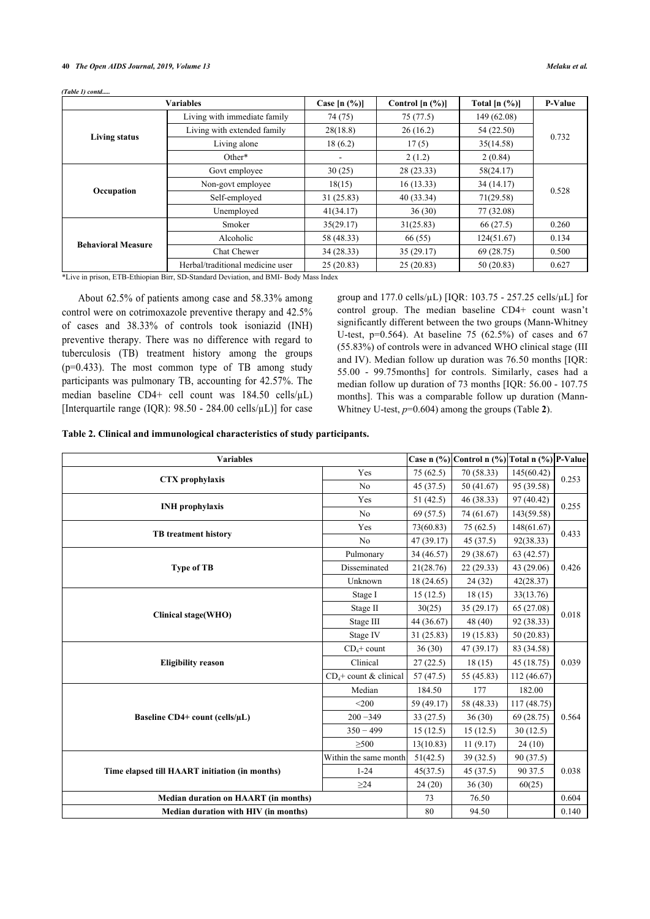#### **40** *The Open AIDS Journal, 2019, Volume 13 Melaku et al.*

|                           | <b>Variables</b>                 | Case $[n (%)]$ | Control $[n (%)]$ | Total $[n (%)]$ | <b>P-Value</b> |  |
|---------------------------|----------------------------------|----------------|-------------------|-----------------|----------------|--|
| <b>Living status</b>      | Living with immediate family     | 74 (75)        | 75(77.5)          | 149 (62.08)     |                |  |
|                           | Living with extended family      | 28(18.8)       | 26(16.2)          | 54 (22.50)      | 0.732          |  |
|                           | Living alone                     | 18(6.2)        | 17(5)             | 35(14.58)       |                |  |
|                           | Other*                           |                | 2(1.2)            | 2(0.84)         |                |  |
| Occupation                | Govt employee                    | 30(25)         | 28(23.33)         | 58(24.17)       | 0.528          |  |
|                           | Non-govt employee                | 18(15)         | 16(13.33)         | 34(14.17)       |                |  |
|                           | Self-employed                    | 31(25.83)      | 40(33.34)         | 71(29.58)       |                |  |
|                           | Unemployed                       | 41(34.17)      | 36(30)            | 77 (32.08)      |                |  |
|                           | Smoker                           | 35(29.17)      | 31(25.83)         | 66(27.5)        | 0.260          |  |
| <b>Behavioral Measure</b> | Alcoholic                        | 58 (48.33)     | 66 (55)           | 124(51.67)      | 0.134          |  |
|                           | Chat Chewer                      | 34(28.33)      | 35(29.17)         | 69 (28.75)      | 0.500          |  |
|                           | Herbal/traditional medicine user | 25(20.83)      | 25(20.83)         | 50(20.83)       | 0.627          |  |

*(Table 1) contd.....*

\*Live in prison, ETB-Ethiopian Birr, SD-Standard Deviation, and BMI- Body Mass Index

About 62.5% of patients among case and 58.33% among control were on cotrimoxazole preventive therapy and 42.5% of cases and 38.33% of controls took isoniazid (INH) preventive therapy. There was no difference with regard to tuberculosis (TB) treatment history among the groups (p=0.433). The most common type of TB among study participants was pulmonary TB, accounting for 42.57%. The median baseline CD4+ cell count was 184.50 cells/µL) [Interquartile range (IQR):  $98.50 - 284.00$  cells/ $\mu$ L)] for case group and  $177.0$  cells/ $\mu$ L) [IQR: 103.75 - 257.25 cells/ $\mu$ L] for control group. The median baseline CD4+ count wasn't significantly different between the two groups (Mann-Whitney U-test, p=0.564). At baseline 75 (62.5%) of cases and 67 (55.83%) of controls were in advanced WHO clinical stage (III and IV). Median follow up duration was 76.50 months [IQR: 55.00 - 99.75months] for controls. Similarly, cases had a median follow up duration of 73 months [IQR: 56.00 - 107.75 months]. This was a comparable follow up duration (Mann-Whitney U-test, *p*=0.604) among the groups (Table **[2](#page-4-0)**).

<span id="page-4-0"></span>

|  | Table 2. Clinical and immunological characteristics of study participants. |  |  |
|--|----------------------------------------------------------------------------|--|--|
|  |                                                                            |  |  |

| <b>Variables</b>                               |                          |            | Case n (%) Control n (%) Total n (%) P-Value |             |       |  |
|------------------------------------------------|--------------------------|------------|----------------------------------------------|-------------|-------|--|
|                                                | Yes                      | 75(62.5)   | 70 (58.33)                                   | 145(60.42)  |       |  |
| CTX prophylaxis                                | N <sub>0</sub>           | 45(37.5)   | 50 (41.67)                                   | 95 (39.58)  | 0.253 |  |
|                                                | Yes                      | 51(42.5)   | 46 (38.33)                                   | 97 (40.42)  | 0.255 |  |
| <b>INH</b> prophylaxis                         | N <sub>0</sub>           | 69 (57.5)  | 74 (61.67)                                   | 143(59.58)  |       |  |
| <b>TB</b> treatment history                    | Yes                      | 73(60.83)  | 75(62.5)                                     | 148(61.67)  | 0.433 |  |
|                                                | No                       | 47 (39.17) | 45(37.5)                                     | 92(38.33)   |       |  |
|                                                | Pulmonary                | 34 (46.57) | 29 (38.67)                                   | 63 (42.57)  |       |  |
| <b>Type of TB</b>                              | Disseminated             | 21(28.76)  | 22(29.33)                                    | 43 (29.06)  | 0.426 |  |
|                                                | Unknown                  | 18 (24.65) | 24 (32)                                      | 42(28.37)   |       |  |
| Clinical stage(WHO)                            | Stage I                  | 15(12.5)   | 18(15)                                       | 33(13.76)   | 0.018 |  |
|                                                | Stage II                 | 30(25)     | 35(29.17)                                    | 65 (27.08)  |       |  |
|                                                | Stage III                | 44 (36.67) | 48 (40)                                      | 92 (38.33)  |       |  |
|                                                | Stage IV                 | 31 (25.83) | 19 (15.83)                                   | 50 (20.83)  |       |  |
|                                                | $CD4 + count$            | 36(30)     | 47 (39.17)                                   | 83 (34.58)  |       |  |
| <b>Eligibility reason</b>                      | Clinical                 | 27(22.5)   | 18(15)                                       | 45 (18.75)  | 0.039 |  |
|                                                | $CD4 + count & clinical$ | 57(47.5)   | 55 (45.83)                                   | 112(46.67)  |       |  |
|                                                | Median                   | 184.50     | 177                                          | 182.00      |       |  |
|                                                | $<$ 200                  | 59 (49.17) | 58 (48.33)                                   | 117 (48.75) |       |  |
| Baseline CD4+ count (cells/µL)                 | $200 - 349$              | 33(27.5)   | 36(30)                                       | 69 (28.75)  | 0.564 |  |
|                                                | $350 - 499$              | 15(12.5)   | 15(12.5)                                     | 30(12.5)    |       |  |
|                                                | >500                     | 13(10.83)  | 11(9.17)                                     | 24(10)      |       |  |
|                                                | Within the same month    | 51(42.5)   | 39(32.5)                                     | 90 (37.5)   |       |  |
| Time elapsed till HAART initiation (in months) | $1 - 24$                 | 45(37.5)   | 45 (37.5)                                    | 90 37.5     | 0.038 |  |
|                                                | $\geq$ 24                | 24(20)     | 36(30)                                       | 60(25)      |       |  |
| <b>Median duration on HAART (in months)</b>    |                          | 73         | 76.50                                        |             | 0.604 |  |
| Median duration with HIV (in months)           |                          | 80         | 94.50                                        |             | 0.140 |  |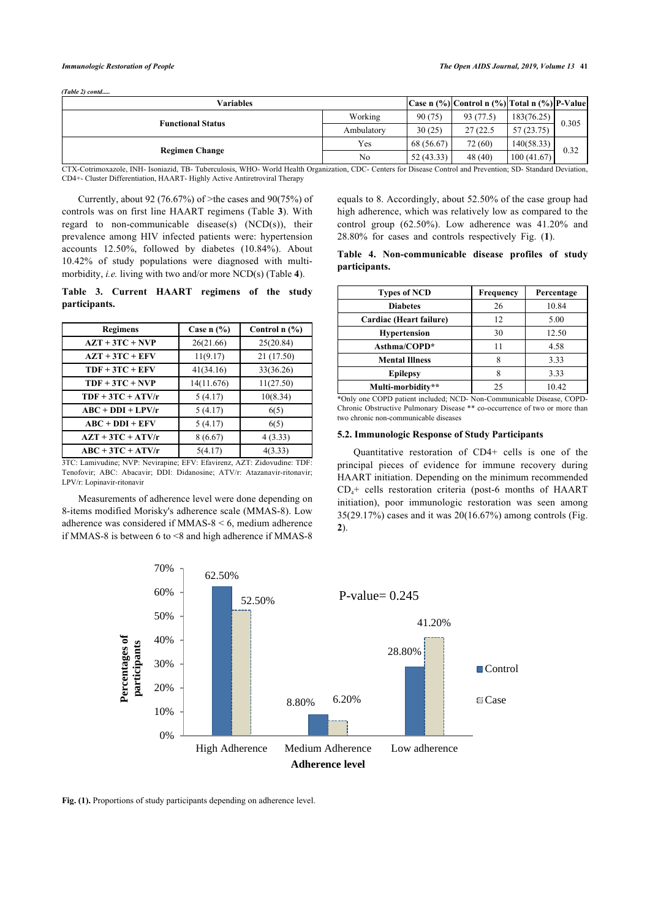|  | (Table 2) contd |
|--|-----------------|

| Working    |            |           |            |                                                                                                                                                                    |  |
|------------|------------|-----------|------------|--------------------------------------------------------------------------------------------------------------------------------------------------------------------|--|
|            | 90 (75)    | 93 (77.5) | 183(76.25) |                                                                                                                                                                    |  |
| Ambulatory | 30(25)     | 27 (22.5) | 57 (23.75) | 0.305                                                                                                                                                              |  |
| Yes        | 68 (56.67) | 72 (60)   | 140(58.33) | 0.32                                                                                                                                                               |  |
| No         | 52(43.33)  | 48 (40)   |            |                                                                                                                                                                    |  |
|            |            |           |            | 100(41.67)<br>CTV Cettimorrecele BIII Josephia TD Tubereulogic WIIO Would Health Organization CDC Contage for Disease Central and Drawntian CD, Standard Davistion |  |

CTX-Cotrimoxazole, INH- Isoniazid, TB- Tuberculosis, WHO- World Health Organization, CDC- Centers for Disease Control and Prevention; SD- Standard Deviation, CD4+- Cluster Differentiation, HAART- Highly Active Antiretroviral Therapy

Currently, about 92 (76.67%) of >the cases and 90(75%) of controls was on first line HAART regimens (Table **[3](#page-5-0)**). With regard to non-communicable disease(s)  $(NCD(s))$ , their prevalence among HIV infected patients were: hypertension accounts 12.50%, followed by diabetes (10.84%). About 10.42% of study populations were diagnosed with multimorbidity, *i.e.* living with two and/or more NCD(s) (Table **[4](#page-5-1)**).

<span id="page-5-0"></span>**Table 3. Current HAART regimens of the study participants.**

| <b>Regimens</b>     | Case $n$ $\frac{6}{6}$ | Control $n$ $(\%)$ |
|---------------------|------------------------|--------------------|
| $AZT + 3TC + NVP$   | 26(21.66)              | 25(20.84)          |
| $AZT + 3TC + EFV$   | 11(9.17)               | 21 (17.50)         |
| $TDF + 3TC + EFV$   | 41(34.16)              | 33(36.26)          |
| $TDF + 3TC + NVP$   | 14(11.676)             | 11(27.50)          |
| $TDF + 3TC + ATV/r$ | 5(4.17)                | 10(8.34)           |
| $ABC + DDI + LPV/r$ | 5(4.17)                | 6(5)               |
| $ABC + DDI + EFV$   | 5(4.17)                | 6(5)               |
| $AZT + 3TC + ATV/r$ | 8(6.67)                | 4(3.33)            |
| $ABC + 3TC + ATV/r$ | 5(4.17)                | 4(3.33)            |

3TC: Lamivudine; NVP: Nevirapine; EFV: Efavirenz, AZT: Zidovudine: TDF: Tenofovir; ABC: Abacavir; DDI: Didanosine; ATV/r: Atazanavir-ritonavir; LPV/r: Lopinavir-ritonavir

<span id="page-5-2"></span>Measurements of adherence level were done depending on 8-items modified Morisky's adherence scale (MMAS-8). Low adherence was considered if MMAS-8 < 6, medium adherence if MMAS-8 is between 6 to <8 and high adherence if MMAS-8 equals to 8. Accordingly, about 52.50% of the case group had high adherence, which was relatively low as compared to the control group (62.50%). Low adherence was 41.20% and 28.80% for cases and controls respectively Fig. (**[1](#page-5-2)**).

|               | Table 4. Non-communicable disease profiles of study |  |  |
|---------------|-----------------------------------------------------|--|--|
| participants. |                                                     |  |  |

| <b>Types of NCD</b>     | <b>Frequency</b> | Percentage |
|-------------------------|------------------|------------|
| <b>Diabetes</b>         | 26               | 10.84      |
| Cardiac (Heart failure) | 12               | 5.00       |
| <b>Hypertension</b>     | 30               | 12.50      |
| Asthma/COPD*            | 11               | 4.58       |
| <b>Mental Illness</b>   |                  | 3.33       |
| <b>Epilepsy</b>         | 8                | 3.33       |
| Multi-morbidity**       | 25               | 10.42      |

\*Only one COPD patient included; NCD- Non-Communicable Disease, COPD-Chronic Obstructive Pulmonary Disease \*\* co-occurrence of two or more than two chronic non-communicable diseases

# **5.2. Immunologic Response of Study Participants**

Quantitative restoration of CD4+ cells is one of the principal pieces of evidence for immune recovery during HAART initiation. Depending on the minimum recommended  $CD<sub>4</sub>$ + cells restoration criteria (post-6 months of HAART initiation), poor immunologic restoration was seen among 35(29.17%) cases and it was 20(16.67%) among controls (Fig. **[2](#page-5-3)**).

<span id="page-5-1"></span>

<span id="page-5-3"></span>Fig. (1). Proportions of study participants depending on adherence level.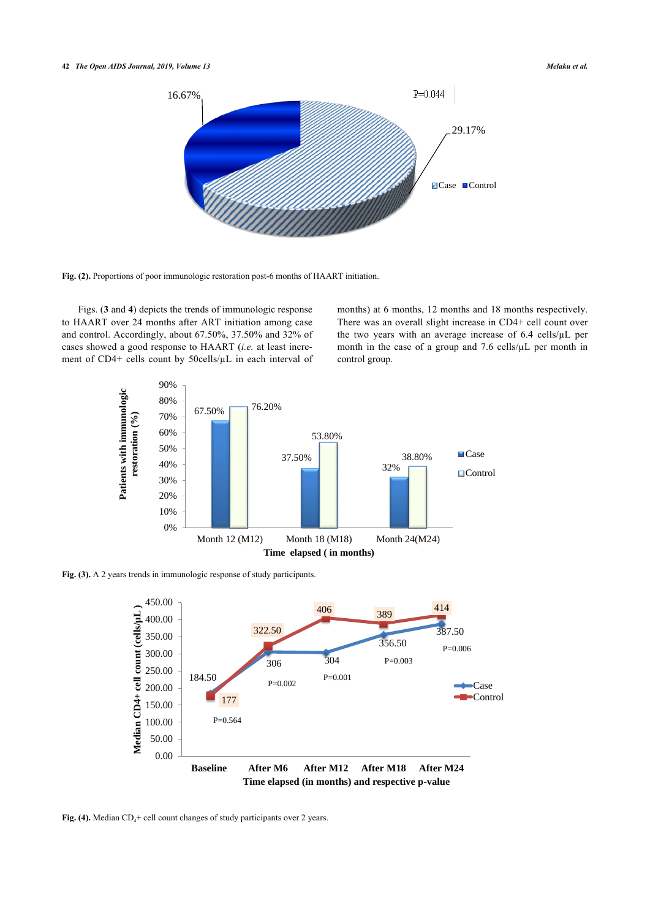# **42** *The Open AIDS Journal, 2019, Volume 13 Melaku et al.*



**Fig. (2).** Proportions of poor immunologic restoration post-6 months of HAART initiation.

<span id="page-6-0"></span>Figs. (**[3](#page-6-0)** and **[4](#page-6-1)**) depicts the trends of immunologic response to HAART over 24 months after ART initiation among case and control. Accordingly, about 67.50%, 37.50% and 32% of cases showed a good response to HAART (*i.e.* at least increment of CD4+ cells count by 50cells/µL in each interval of months) at 6 months, 12 months and 18 months respectively. There was an overall slight increase in CD4+ cell count over the two years with an average increase of 6.4 cells/µL per month in the case of a group and 7.6 cells/ $\mu$ L per month in control group.



<span id="page-6-1"></span>**Fig. (3).** A 2 years trends in immunologic response of study participants.



Fig. (4). Median CD<sub>4</sub>+ cell count changes of study participants over 2 years.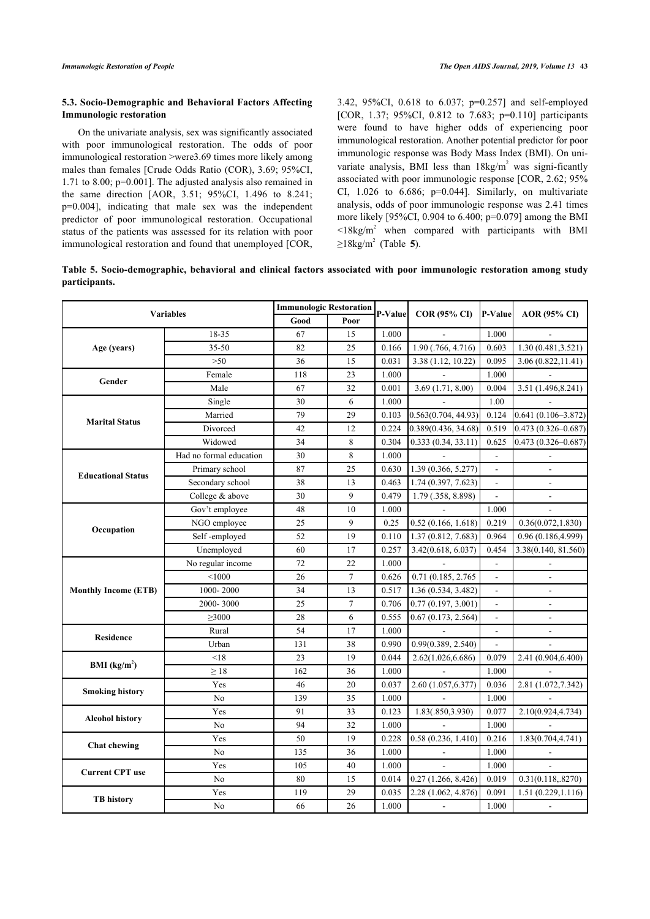# **5.3. Socio-Demographic and Behavioral Factors Affecting Immunologic restoration**

On the univariate analysis, sex was significantly associated with poor immunological restoration. The odds of poor immunological restoration >were3.69 times more likely among males than females [Crude Odds Ratio (COR), 3.69; 95%CI, 1.71 to 8.00; p=0.001]. The adjusted analysis also remained in the same direction [AOR, 3.51; 95%CI, 1.496 to 8.241; p=0.004], indicating that male sex was the independent predictor of poor immunological restoration. Occupational status of the patients was assessed for its relation with poor immunological restoration and found that unemployed [COR, 3.42, 95%CI, 0.618 to 6.037; p=0.257] and self-employed [COR, 1.37; 95%CI, 0.812 to 7.683; p=0.110] participants were found to have higher odds of experiencing poor immunological restoration. Another potential predictor for poor immunologic response was Body Mass Index (BMI). On univariate analysis, BMI less than  $18\text{kg/m}^2$  was signi-ficantly associated with poor immunologic response [COR, 2.62; 95% CI,  $1.026$  to  $6.686$ ;  $p=0.044$ ]. Similarly, on multivariate analysis, odds of poor immunologic response was 2.41 times more likely [95%CI, 0.904 to 6.400; p=0.079] among the BMI  $\leq$ 18kg/m<sup>2</sup> when compared with participants with BMI ≥18kg/m<sup>2</sup> (Table**5**).

<span id="page-7-0"></span>

| Table 5. Socio-demographic, behavioral and clinical factors associated with poor immunologic restoration among study |  |  |  |  |  |
|----------------------------------------------------------------------------------------------------------------------|--|--|--|--|--|
| participants.                                                                                                        |  |  |  |  |  |

| <b>Variables</b>            |                         | <b>Immunologic Restoration</b> |        | P-Value | $COR(95\% CI)$ P-Value |                          | AOR (95% CI)             |
|-----------------------------|-------------------------|--------------------------------|--------|---------|------------------------|--------------------------|--------------------------|
|                             |                         | Good                           | Poor   |         |                        |                          |                          |
| Age (years)                 | 18-35                   | 67                             | 15     | 1.000   |                        | 1.000                    |                          |
|                             | $35 - 50$               | 82                             | 25     | 0.166   | 1.90 (.766, 4.716)     | 0.603                    | 1.30(0.481, 3.521)       |
|                             | $>50$                   | 36                             | 15     | 0.031   | 3.38 (1.12, 10.22)     | 0.095                    | 3.06(0.822, 11.41)       |
| Gender                      | Female                  | 118                            | 23     | 1.000   |                        | 1.000                    |                          |
|                             | Male                    | 67                             | 32     | 0.001   | 3.69(1.71, 8.00)       | 0.004                    | 3.51 (1.496,8.241)       |
| <b>Marital Status</b>       | Single                  | 30                             | 6      | 1.000   |                        | 1.00                     |                          |
|                             | Married                 | 79                             | 29     | 0.103   | 0.563(0.704, 44.93)    | 0.124                    | $0.641(0.106 - 3.872)$   |
|                             | Divorced                | 42                             | 12     | 0.224   | 0.389(0.436, 34.68)    | 0.519                    | $0.473(0.326 - 0.687)$   |
|                             | Widowed                 | 34                             | 8      | 0.304   | 0.333(0.34, 33.11)     | 0.625                    | $0.473(0.326 - 0.687)$   |
|                             | Had no formal education | 30                             | 8      | 1.000   |                        | $\overline{a}$           |                          |
|                             | Primary school          | 87                             | 25     | 0.630   | 1.39 (0.366, 5.277)    | L.                       | $\overline{a}$           |
| <b>Educational Status</b>   | Secondary school        | 38                             | 13     | 0.463   | 1.74 (0.397, 7.623)    | $\blacksquare$           | $\overline{\phantom{a}}$ |
|                             | College & above         | 30                             | 9      | 0.479   | 1.79 (.358, 8.898)     | $\overline{a}$           | $\overline{\phantom{a}}$ |
| Occupation                  | Gov't employee          | 48                             | 10     | 1.000   |                        | 1.000                    | ÷,                       |
|                             | NGO employee            | 25                             | 9      | 0.25    | 0.52(0.166, 1.618)     | 0.219                    | 0.36(0.072, 1.830)       |
|                             | Self-employed           | 52                             | 19     | 0.110   | 1.37 (0.812, 7.683)    | 0.964                    | 0.96(0.186, 4.999)       |
|                             | Unemployed              | 60                             | 17     | 0.257   | 3.42(0.618, 6.037)     | 0.454                    | 3.38(0.140, 81.560)      |
| <b>Monthly Income (ETB)</b> | No regular income       | 72                             | 22     | 1.000   |                        | $\overline{\phantom{a}}$ |                          |
|                             | < 1000                  | 26                             | $\tau$ | 0.626   | 0.71 (0.185, 2.765)    |                          |                          |
|                             | 1000-2000               | 34                             | 13     | 0.517   | 1.36 (0.534, 3.482)    |                          | $\overline{\phantom{a}}$ |
|                             | 2000-3000               | 25                             | $\tau$ | 0.706   | 0.77(0.197, 3.001)     |                          | $\Box$                   |
|                             | $\geq 3000$             | 28                             | 6      | 0.555   | 0.67(0.173, 2.564)     |                          |                          |
| <b>Residence</b>            | Rural                   | 54                             | 17     | 1.000   |                        |                          | $\blacksquare$           |
|                             | Urban                   | 131                            | 38     | 0.990   | 0.99(0.389, 2.540)     |                          |                          |
| BMI (kg/m <sup>2</sup> )    | < 18                    | 23                             | 19     | 0.044   | 2.62(1.026,6.686)      | 0.079                    | 2.41 (0.904,6.400)       |
|                             | $\geq 18$               | 162                            | 36     | 1.000   |                        | 1.000                    |                          |
| <b>Smoking history</b>      | Yes                     | 46                             | 20     | 0.037   | 2.60 (1.057, 6.377)    | 0.036                    | 2.81 (1.072,7.342)       |
|                             | No                      | 139                            | 35     | 1.000   |                        | 1.000                    |                          |
| <b>Alcohol history</b>      | Yes                     | 91                             | 33     | 0.123   | 1.83(.850,3.930)       | 0.077                    | 2.10(0.924,4.734)        |
|                             | No                      | 94                             | 32     | 1.000   |                        | 1.000                    |                          |
| <b>Chat chewing</b>         | Yes                     | 50                             | 19     | 0.228   | 0.58(0.236, 1.410)     | 0.216                    | 1.83(0.704, 4.741)       |
|                             | No                      | 135                            | 36     | 1.000   | $\overline{a}$         | 1.000                    |                          |
| <b>Current CPT</b> use      | Yes                     | 105                            | 40     | 1.000   | $\overline{a}$         | 1.000                    |                          |
|                             | No                      | 80                             | 15     | 0.014   | 0.27(1.266, 8.426)     | 0.019                    | 0.31(0.118, .8270)       |
| <b>TB</b> history           | Yes                     | 119                            | 29     | 0.035   | 2.28 (1.062, 4.876)    | 0.091                    | 1.51(0.229, 1.116)       |
|                             | No                      | 66                             | 26     | 1.000   | $\blacksquare$         | 1.000                    | $\blacksquare$           |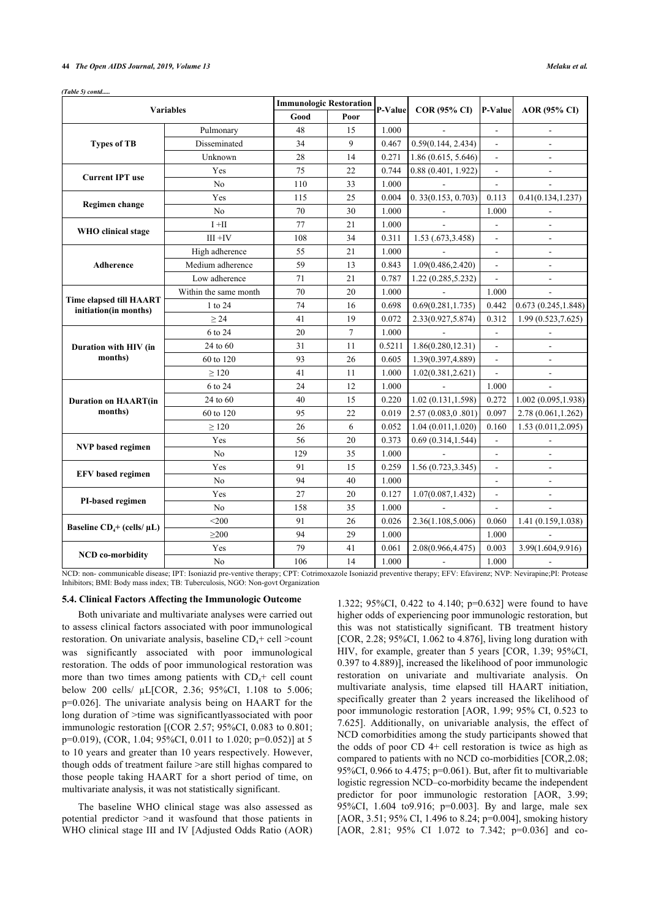#### **44** *The Open AIDS Journal, 2019, Volume 13 Melaku et al.*

*(Table 5) contd.....*

| <b>Variables</b>                                        |                       | <b>Immunologic Restoration</b> |                |         |                     |                          |                     |
|---------------------------------------------------------|-----------------------|--------------------------------|----------------|---------|---------------------|--------------------------|---------------------|
|                                                         |                       | Good                           | Poor           | P-Value | <b>COR (95% CI)</b> | P-Value                  | AOR (95% CI)        |
| <b>Types of TB</b>                                      | Pulmonary             | 48                             | 15             | 1.000   |                     | $\overline{a}$           |                     |
|                                                         | Disseminated          | 34                             | 9              | 0.467   | 0.59(0.144, 2.434)  | $\overline{\phantom{0}}$ |                     |
|                                                         | Unknown               | 28                             | 14             | 0.271   | 1.86 (0.615, 5.646) | ÷                        |                     |
| <b>Current IPT use</b>                                  | Yes                   | 75                             | 22             | 0.744   | 0.88(0.401, 1.922)  |                          |                     |
|                                                         | No                    | 110                            | 33             | 1.000   |                     |                          | L.                  |
| Regimen change                                          | Yes                   | 115                            | 25             | 0.004   | 0.33(0.153, 0.703)  | 0.113                    | 0.41(0.134, 1.237)  |
|                                                         | N <sub>0</sub>        | 70                             | 30             | 1.000   |                     | 1.000                    |                     |
| WHO clinical stage                                      | $I + II$              | 77                             | 21             | 1.000   | $\mathbf{r}$        | $\blacksquare$           | $\blacksquare$      |
|                                                         | $III + IV$            | 108                            | 34             | 0.311   | 1.53 (.673,3.458)   | ÷.                       | $\overline{a}$      |
| Adherence                                               | High adherence        | 55                             | 21             | 1.000   |                     | ä,                       | $\blacksquare$      |
|                                                         | Medium adherence      | 59                             | 13             | 0.843   | 1.09(0.486, 2.420)  | $\overline{a}$           | $\overline{a}$      |
|                                                         | Low adherence         | 71                             | 21             | 0.787   | 1.22 (0.285,5.232)  |                          | ÷,                  |
|                                                         | Within the same month | 70                             | 20             | 1.000   |                     | 1.000                    |                     |
| <b>Time elapsed till HAART</b><br>initiation(in months) | 1 to 24               | 74                             | 16             | 0.698   | 0.69(0.281, 1.735)  | 0.442                    | 0.673(0.245, 1.848) |
|                                                         | $\geq$ 24             | 41                             | 19             | 0.072   | 2.33(0.927,5.874)   | 0.312                    | 1.99 (0.523,7.625)  |
| Duration with HIV (in<br>months)                        | 6 to 24               | 20                             | $\overline{7}$ | 1.000   |                     | $\overline{a}$           |                     |
|                                                         | 24 to 60              | 31                             | 11             | 0.5211  | 1.86(0.280, 12.31)  |                          |                     |
|                                                         | 60 to 120             | 93                             | 26             | 0.605   | 1.39(0.397,4.889)   |                          |                     |
|                                                         | $\geq$ 120            | 41                             | 11             | 1.000   | 1.02(0.381, 2.621)  |                          | $\overline{a}$      |
| <b>Duration on HAART(in</b><br>months)                  | 6 to 24               | 24                             | 12             | 1.000   |                     | 1.000                    |                     |
|                                                         | 24 to 60              | 40                             | 15             | 0.220   | 1.02(0.131, 1.598)  | 0.272                    | 1.002(0.095, 1.938) |
|                                                         | 60 to 120             | 95                             | 22             | 0.019   | 2.57 (0.083,0.801)  | 0.097                    | 2.78 (0.061,1.262)  |
|                                                         | $\geq$ 120            | 26                             | 6              | 0.052   | 1.04(0.011, 1.020)  | 0.160                    | 1.53(0.011, 2.095)  |
| <b>NVP</b> based regimen                                | Yes                   | 56                             | 20             | 0.373   | 0.69(0.314, 1.544)  | $\blacksquare$           |                     |
|                                                         | N <sub>o</sub>        | 129                            | 35             | 1.000   |                     | $\overline{a}$           |                     |
| <b>EFV</b> based regimen                                | Yes                   | 91                             | 15             | 0.259   | 1.56(0.723, 3.345)  |                          | $\overline{a}$      |
|                                                         | No                    | 94                             | 40             | 1.000   |                     |                          |                     |
| PI-based regimen                                        | Yes                   | 27                             | 20             | 0.127   | 1.07(0.087, 1.432)  | $\overline{\phantom{a}}$ | $\blacksquare$      |
|                                                         | No                    | 158                            | 35             | 1.000   |                     | $\overline{\phantom{a}}$ |                     |
| Baseline $CD_4$ + (cells/ $\mu L$ )                     | $<$ 200               | 91                             | 26             | 0.026   | 2.36(1.108,5.006)   | 0.060                    | 1.41 (0.159,1.038)  |
|                                                         | $\geq$ 200            | 94                             | 29             | 1.000   |                     | 1.000                    |                     |
| <b>NCD</b> co-morbidity                                 | Yes                   | 79                             | 41             | 0.061   | 2.08(0.966,4.475)   | 0.003                    | 3.99(1.604,9.916)   |
|                                                         | No                    | 106                            | 14             | 1.000   | $\blacksquare$      | 1.000                    | ÷,                  |

NCD: non- communicable disease; IPT: Isoniazid pre-ventive therapy; CPT: Cotrimoxazole Isoniazid preventive therapy; EFV: Efavirenz; NVP: Nevirapine;PI: Protease Inhibitors; BMI: Body mass index; TB: Tuberculosis, NGO: Non-govt Organization

#### **5.4. Clinical Factors Affecting the Immunologic Outcome**

Both univariate and multivariate analyses were carried out to assess clinical factors associated with poor immunological restoration. On univariate analysis, baseline  $CD_4$ + cell >count was significantly associated with poor immunological restoration. The odds of poor immunological restoration was more than two times among patients with  $CD<sub>i</sub>$  cell count below 200 cells/ µL[COR, 2.36; 95%CI, 1.108 to 5.006; p=0.026]. The univariate analysis being on HAART for the long duration of >time was significantlyassociated with poor immunologic restoration [(COR 2.57; 95%CI, 0.083 to 0.801; p=0.019), (COR, 1.04; 95%CI, 0.011 to 1.020; p=0.052)] at 5 to 10 years and greater than 10 years respectively. However, though odds of treatment failure >are still highas compared to those people taking HAART for a short period of time, on multivariate analysis, it was not statistically significant.

The baseline WHO clinical stage was also assessed as potential predictor >and it wasfound that those patients in WHO clinical stage III and IV [Adjusted Odds Ratio (AOR)

1.322; 95%CI, 0.422 to 4.140; p=0.632] were found to have higher odds of experiencing poor immunologic restoration, but this was not statistically significant. TB treatment history [COR, 2.28; 95%CI, 1.062 to 4.876], living long duration with HIV, for example, greater than 5 years [COR, 1.39; 95%CI, 0.397 to 4.889)], increased the likelihood of poor immunologic restoration on univariate and multivariate analysis. On multivariate analysis, time elapsed till HAART initiation, specifically greater than 2 years increased the likelihood of poor immunologic restoration [AOR, 1.99; 95% CI, 0.523 to 7.625]. Additionally, on univariable analysis, the effect of NCD comorbidities among the study participants showed that the odds of poor  $CD$  4+ cell restoration is twice as high as compared to patients with no NCD co-morbidities [COR,2.08; 95%CI, 0.966 to 4.475; p=0.061). But, after fit to multivariable logistic regression NCD–co-morbidity became the independent predictor for poor immunologic restoration [AOR, 3.99; 95%CI, 1.604 to9.916; p=0.003]. By and large, male sex [AOR, 3.51; 95% CI, 1.496 to 8.24; p=0.004], smoking history [AOR, 2.81; 95% CI 1.072 to 7.342; p=0.036] and co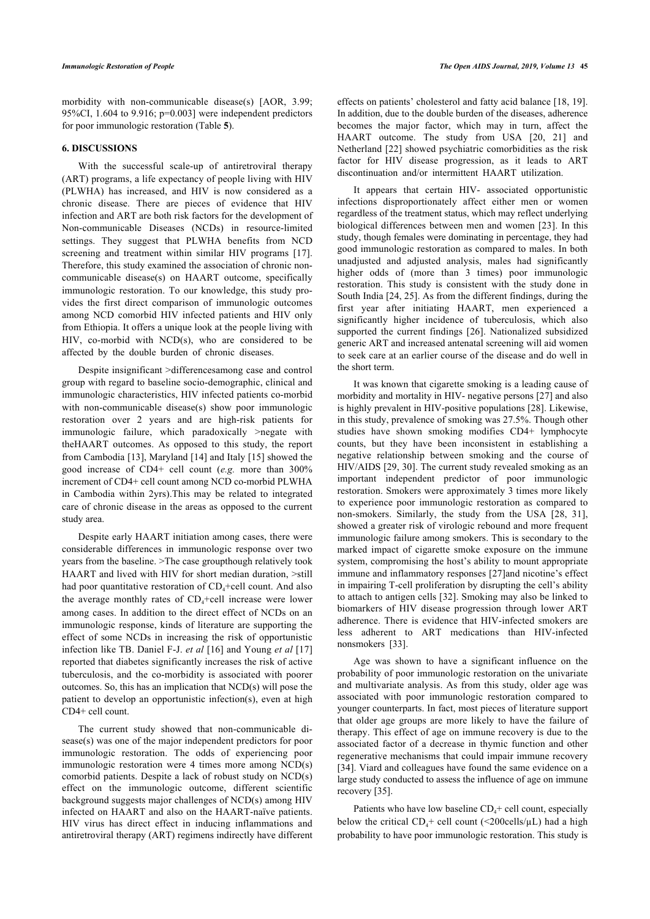morbidity with non-communicable disease(s) [AOR, 3.99; 95%CI, 1.604 to 9.916; p=0.003] were independent predictors for poor immunologic restoration (Table **[5](#page-7-0)**).

#### **6. DISCUSSIONS**

With the successful scale-up of antiretroviral therapy (ART) programs, a life expectancy of people living with HIV (PLWHA) has increased, and HIV is now considered as a chronic disease. There are pieces of evidence that HIV infection and ART are both risk factors for the development of Non-communicable Diseases (NCDs) in resource-limited settings. They suggest that PLWHA benefits from NCD screeningand treatment within similar HIV programs [[17\]](#page-11-5). Therefore, this study examined the association of chronic noncommunicable disease(s) on HAART outcome, specifically immunologic restoration. To our knowledge, this study provides the first direct comparison of immunologic outcomes among NCD comorbid HIV infected patients and HIV only from Ethiopia. It offers a unique look at the people living with HIV, co-morbid with NCD(s), who are considered to be affected by the double burden of chronic diseases.

Despite insignificant >differencesamong case and control group with regard to baseline socio-demographic, clinical and immunologic characteristics, HIV infected patients co-morbid with non-communicable disease(s) show poor immunologic restoration over 2 years and are high-risk patients for immunologic failure, which paradoxically >negate with theHAART outcomes. As opposed to this study, the report from Cambodia [[13\]](#page-11-6), Maryland [[14\]](#page-11-7) and Italy [\[15](#page-11-8)] showed the good increase of CD4+ cell count (*e.g.* more than 300% increment of CD4+ cell count among NCD co-morbid PLWHA in Cambodia within 2yrs).This may be related to integrated care of chronic disease in the areas as opposed to the current study area.

Despite early HAART initiation among cases, there were considerable differences in immunologic response over two years from the baseline. >The case groupthough relatively took HAART and lived with HIV for short median duration, >still had poor quantitative restoration of  $CD<sub>4</sub>+cell$  count. And also the average monthly rates of  $CD_4+cell$  increase were lower among cases. In addition to the direct effect of NCDs on an immunologic response, kinds of literature are supporting the effect of some NCDs in increasing the risk of opportunistic infection like TB. Daniel F-J. *et al* [[16\]](#page-11-9) and Young *et al* [[17](#page-11-5)] reported that diabetes significantly increases the risk of active tuberculosis, and the co-morbidity is associated with poorer outcomes. So, this has an implication that NCD(s) will pose the patient to develop an opportunistic infection(s), even at high CD4+ cell count.

The current study showed that non-communicable disease(s) was one of the major independent predictors for poor immunologic restoration. The odds of experiencing poor immunologic restoration were 4 times more among NCD(s) comorbid patients. Despite a lack of robust study on NCD(s) effect on the immunologic outcome, different scientific background suggests major challenges of NCD(s) among HIV infected on HAART and also on the HAART-naïve patients. HIV virus has direct effect in inducing inflammations and antiretroviral therapy (ART) regimens indirectly have different effects on patients' cholesterol and fatty acid balance [\[18](#page-11-10), [19](#page-11-11)]. In addition, due to the double burden of the diseases, adherence becomes the major factor, which may in turn, affect the HAART outcome. The study from USA [\[20](#page-11-12), [21\]](#page-11-13) and Netherland [[22](#page-11-14)] showed psychiatric comorbidities as the risk factor for HIV disease progression, as it leads to ART discontinuation and/or intermittent HAART utilization.

It appears that certain HIV- associated opportunistic infections disproportionately affect either men or women regardless of the treatment status, which may reflect underlying biological differences between men and women [\[23\]](#page-11-15). In this study, though females were dominating in percentage, they had good immunologic restoration as compared to males. In both unadjusted and adjusted analysis, males had significantly higher odds of (more than 3 times) poor immunologic restoration. This study is consistent with the study done in South India [[24,](#page-11-16) [25](#page-11-17)]. As from the different findings, during the first year after initiating HAART, men experienced a significantly higher incidence of tuberculosis, which also supported the current findings[[26\]](#page-11-18). Nationalized subsidized generic ART and increased antenatal screening will aid women to seek care at an earlier course of the disease and do well in the short term.

It was known that cigarette smoking is a leading cause of morbidity and mortality in HIV- negative persons [\[27](#page-11-19)] and also is highly prevalent in HIV-positive populations [\[28](#page-11-20)]. Likewise, in this study, prevalence of smoking was 27.5%. Though other studies have shown smoking modifies CD4+ lymphocyte counts, but they have been inconsistent in establishing a negative relationship between smoking and the course of HIV/AIDS [\[29,](#page-11-4) [30](#page-11-21)]. The current study revealed smoking as an important independent predictor of poor immunologic restoration. Smokers were approximately 3 times more likely to experience poor immunologic restoration as compared to non-smokers. Similarly, the study from the USA[[28](#page-11-20), [31](#page-11-22)], showed a greater risk of virologic rebound and more frequent immunologic failure among smokers. This is secondary to the marked impact of cigarette smoke exposure on the immune system, compromising the host's ability to mount appropriate immune and inflammatory responses [[27](#page-11-19)]and nicotine's effect in impairing T-cell proliferation by disrupting the cell's ability to attach to antigen cells [[32\]](#page-11-23). Smoking may also be linked to biomarkers of HIV disease progression through lower ART adherence. There is evidence that HIV-infected smokers are less adherent to ART medications than HIV-infected nonsmokers[[33\]](#page-11-24).

Age was shown to have a significant influence on the probability of poor immunologic restoration on the univariate and multivariate analysis. As from this study, older age was associated with poor immunologic restoration compared to younger counterparts. In fact, most pieces of literature support that older age groups are more likely to have the failure of therapy. This effect of age on immune recovery is due to the associated factor of a decrease in thymic function and other regenerative mechanisms that could impair immune recovery [[34](#page-11-25)]. Viard and colleagues have found the same evidence on a large study conducted to assess the influence of age on immune recovery [[35\]](#page-11-26).

Patients who have low baseline  $CD<sub>4</sub>$ + cell count, especially below the critical  $CD_4$ + cell count (<200cells/ $\mu$ L) had a high probability to have poor immunologic restoration. This study is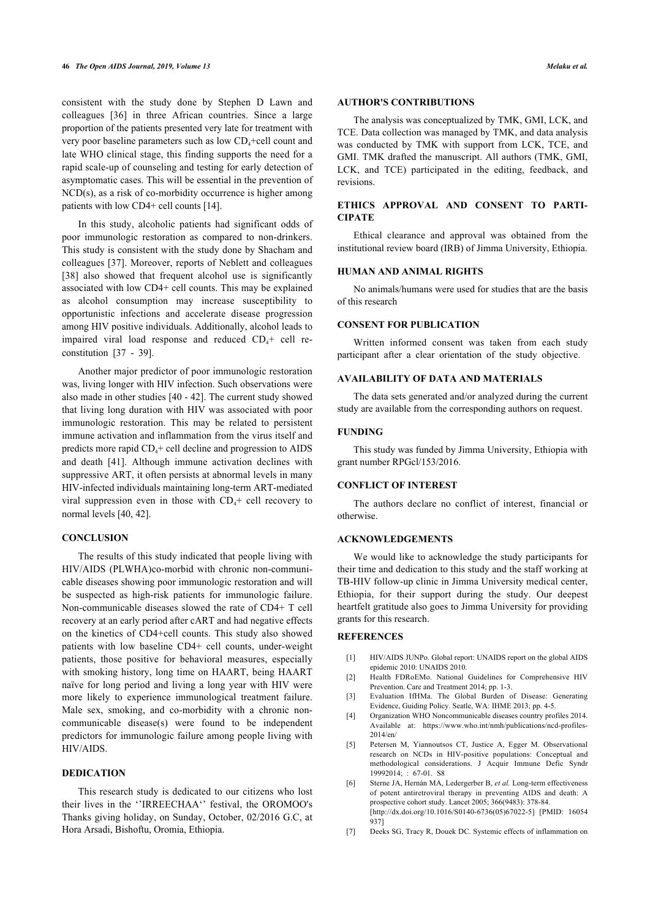consistent with the study done by Stephen D Lawn and colleagues[[36](#page-11-27)] in three African countries. Since a large proportion of the patients presented very late for treatment with very poor baseline parameters such as low  $CD_4+cell$  count and late WHO clinical stage, this finding supports the need for a rapid scale-up of counseling and testing for early detection of asymptomatic cases. This will be essential in the prevention of NCD(s), as a risk of co-morbidity occurrence is higher among patients with low CD4+ cell counts [\[14](#page-11-7)].

In this study, alcoholic patients had significant odds of poor immunologic restoration as compared to non-drinkers. This study is consistent with the study done by Shacham and colleagues [[37](#page-11-28)]. Moreover, reports of Neblett and colleagues [[38\]](#page-11-13) also showed that frequent alcohol use is significantly associated with low CD4+ cell counts. This may be explained as alcohol consumption may increase susceptibility to opportunistic infections and accelerate disease progression among HIV positive individuals. Additionally, alcohol leads to impaired viral load response and reduced  $CD<sub>4</sub>$ + cell reconstitution [\[37](#page-11-28) - [39\]](#page-11-14).

Another major predictor of poor immunologic restoration was, living longer with HIV infection. Such observations were also made in other studies [[40](#page-11-29) - [42\]](#page-12-0). The current study showed that living long duration with HIV was associated with poor immunologic restoration. This may be related to persistent immune activation and inflammation from the virus itself and predicts more rapid  $CD_4$ + cell decline and progression to AIDS and death[[41](#page-11-30)]. Although immune activation declines with suppressive ART, it often persists at abnormal levels in many HIV-infected individuals maintaining long-term ART-mediated viral suppression even in those with  $CD<sub>4</sub>$ + cell recovery to normal levels [[40,](#page-11-29) [42](#page-12-0)].

#### **CONCLUSION**

<span id="page-10-0"></span>The results of this study indicated that people living with HIV/AIDS (PLWHA)co-morbid with chronic non-communicable diseases showing poor immunologic restoration and will be suspected as high-risk patients for immunologic failure. Non-communicable diseases slowed the rate of CD4+ T cell recovery at an early period after cART and had negative effects on the kinetics of CD4+cell counts. This study also showed patients with low baseline CD4+ cell counts, under-weight patients, those positive for behavioral measures, especially with smoking history, long time on HAART, being HAART naïve for long period and living a long year with HIV were more likely to experience immunological treatment failure. Male sex, smoking, and co-morbidity with a chronic noncommunicable disease(s) were found to be independent predictors for immunologic failure among people living with HIV/AIDS.

# <span id="page-10-4"></span><span id="page-10-3"></span><span id="page-10-2"></span><span id="page-10-1"></span>**DEDICATION**

<span id="page-10-6"></span><span id="page-10-5"></span>This research study is dedicated to our citizens who lost their lives in the ''IRREECHAA'' festival, the OROMOO's Thanks giving holiday, on Sunday, October, 02/2016 G.C, at Hora Arsadi, Bishoftu, Oromia, Ethiopia.

# **AUTHOR'S CONTRIBUTIONS**

The analysis was conceptualized by TMK, GMI, LCK, and TCE. Data collection was managed by TMK, and data analysis was conducted by TMK with support from LCK, TCE, and GMI. TMK drafted the manuscript. All authors (TMK, GMI, LCK, and TCE) participated in the editing, feedback, and revisions.

# **ETHICS APPROVAL AND CONSENT TO PARTI-CIPATE**

Ethical clearance and approval was obtained from the institutional review board (IRB) of Jimma University, Ethiopia.

# **HUMAN AND ANIMAL RIGHTS**

No animals/humans were used for studies that are the basis of this research

#### **CONSENT FOR PUBLICATION**

Written informed consent was taken from each study participant after a clear orientation of the study objective.

# **AVAILABILITY OF DATA AND MATERIALS**

The data sets generated and/or analyzed during the current study are available from the corresponding authors on request.

#### **FUNDING**

This study was funded by Jimma University, Ethiopia with grant number RPGcl/153/2016.

#### **CONFLICT OF INTEREST**

The authors declare no conflict of interest, financial or otherwise.

#### **ACKNOWLEDGEMENTS**

We would like to acknowledge the study participants for their time and dedication to this study and the staff working at TB-HIV follow-up clinic in Jimma University medical center, Ethiopia, for their support during the study. Our deepest heartfelt gratitude also goes to Jimma University for providing grants for this research.

#### **REFERENCES**

- [1] HIV/AIDS JUNPo. Global report: UNAIDS report on the global AIDS epidemic 2010: UNAIDS 2010.
- [2] Health FDRoEMo. National Guidelines for Comprehensive HIV Prevention. Care and Treatment 2014; pp. 1-3.
- [3] Evaluation IfHMa. The Global Burden of Disease: Generating Evidence, Guiding Policy. Seatle, WA: IHME 2013; pp. 4-5.
- [4] Organization WHO Noncommunicable diseases country profiles 2014. Available at: [https://www.who.int/nmh/publications/ncd-profiles-](https://www.who.int/nmh/publications/ncd-profiles-2014/en/)[2014/en/](https://www.who.int/nmh/publications/ncd-profiles-2014/en/)
- [5] Petersen M, Yiannoutsos CT, Justice A, Egger M. Observational research on NCDs in HIV-positive populations: Conceptual and methodological considerations. J Acquir Immune Defic Syndr  $19992014: 67-01$  S8
- [6] Sterne JA, Hernán MA, Ledergerber B, *et al.* Long-term effectiveness of potent antiretroviral therapy in preventing AIDS and death: A prospective cohort study. Lancet 2005; 366(9483): 378-84. [\[http://dx.doi.org/10.1016/S0140-6736\(05\)67022-5](http://dx.doi.org/10.1016/S0140-6736(05)67022-5)] [PMID: [16054](http://www.ncbi.nlm.nih.gov/pubmed/16054%20937) [937](http://www.ncbi.nlm.nih.gov/pubmed/16054%20937)]
- [7] Deeks SG, Tracy R, Douek DC. Systemic effects of inflammation on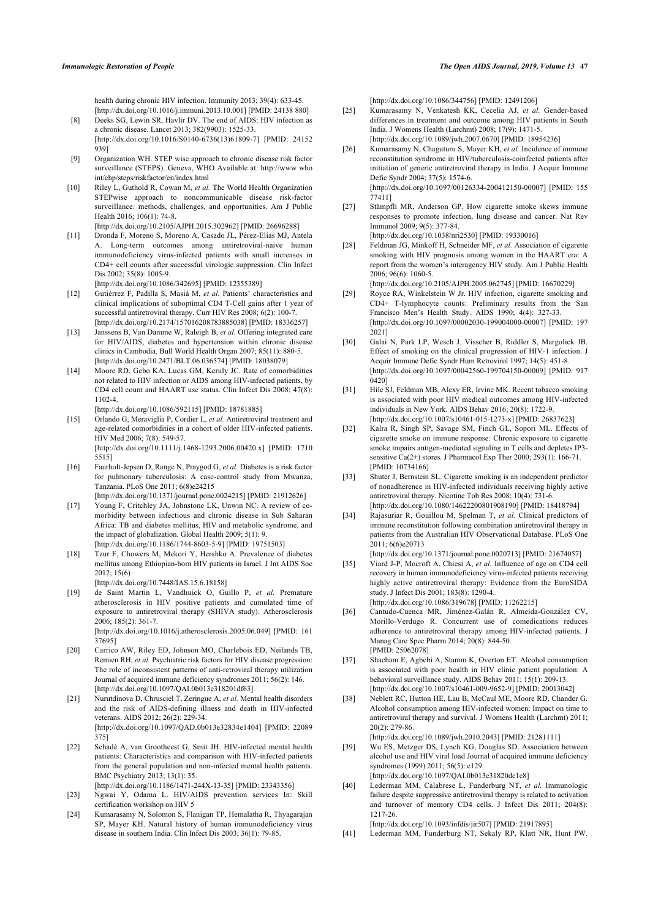health during chronic HIV infection. Immunity 2013; 39(4): 633-45. [\[http://dx.doi.org/10.1016/j.immuni.2013.10.001](http://dx.doi.org/10.1016/j.immuni.2013.10.001)] [PMID: [24138 880\]](http://www.ncbi.nlm.nih.gov/pubmed/24138%20880)

- <span id="page-11-17"></span><span id="page-11-0"></span>[8] Deeks SG, Lewin SR, Havlir DV. The end of AIDS: HIV infection as a chronic disease. Lancet 2013; 382(9903): 1525-33. [\[http://dx.doi.org/10.1016/S0140-6736\(13\)61809-7](http://dx.doi.org/10.1016/S0140-6736(13)61809-7)] [PMID: [24152](http://www.ncbi.nlm.nih.gov/pubmed/24152%20939) [939](http://www.ncbi.nlm.nih.gov/pubmed/24152%20939)]
- <span id="page-11-18"></span><span id="page-11-1"></span>[9] Organization WH. STEP wise approach to chronic disease risk factor surveillance (STEPS). Geneva, WHO Available at: [http://www who](#page--1-0) [int/chp/steps/riskfactor/en/index html](#page--1-0)
- <span id="page-11-19"></span><span id="page-11-2"></span>[10] Riley L, Guthold R, Cowan M, *et al.* The World Health Organization STEPwise approach to noncommunicable disease risk-factor surveillance: methods, challenges, and opportunities. Am J Public Health 2016; 106(1): 74-8.

[\[http://dx.doi.org/10.2105/AJPH.2015.302962](http://dx.doi.org/10.2105/AJPH.2015.302962)] [PMID: [26696288](http://www.ncbi.nlm.nih.gov/pubmed/26696288)]

<span id="page-11-20"></span><span id="page-11-3"></span>[11] Dronda F, Moreno S, Moreno A, Casado JL, Pérez-Elías MJ, Antela A. Long-term outcomes among antiretroviral-naive human immunodeficiency virus-infected patients with small increases in CD4+ cell counts after successful virologic suppression. Clin Infect Dis 2002: 35(8): 1005-9.

[\[http://dx.doi.org/10.1086/342695](http://dx.doi.org/10.1086/342695)] [PMID: [12355389\]](http://www.ncbi.nlm.nih.gov/pubmed/12355389)

- <span id="page-11-4"></span>[12] Gutiérrez F, Padilla S, Masiá M, *et al.* Patients' characteristics and clinical implications of suboptimal CD4 T-Cell gains after 1 year of successful antiretroviral therapy. Curr HIV Res 2008; 6(2): 100-7. [\[http://dx.doi.org/10.2174/157016208783885038](http://dx.doi.org/10.2174/157016208783885038)] [PMID: [18336257\]](http://www.ncbi.nlm.nih.gov/pubmed/18336257)
- <span id="page-11-21"></span><span id="page-11-6"></span>[13] Janssens B, Van Damme W, Raleigh B, *et al.* Offering integrated care for HIV/AIDS, diabetes and hypertension within chronic disease clinics in Cambodia. Bull World Health Organ 2007; 85(11): 880-5. [\[http://dx.doi.org/10.2471/BLT.06.036574\]](http://dx.doi.org/10.2471/BLT.06.036574) [PMID: [18038079\]](http://www.ncbi.nlm.nih.gov/pubmed/18038079)
- <span id="page-11-22"></span><span id="page-11-7"></span>[14] Moore RD, Gebo KA, Lucas GM, Keruly JC. Rate of comorbidities not related to HIV infection or AIDS among HIV-infected patients, by CD4 cell count and HAART use status. Clin Infect Dis 2008; 47(8): 1102-4.

[\[http://dx.doi.org/10.1086/592115](http://dx.doi.org/10.1086/592115)] [PMID: [18781885\]](http://www.ncbi.nlm.nih.gov/pubmed/18781885)

- <span id="page-11-23"></span><span id="page-11-8"></span>[15] Orlando G, Meraviglia P, Cordier L, *et al.* Antiretroviral treatment and age-related comorbidities in a cohort of older HIV-infected patients. HIV Med 2006; 7(8): 549-57. [\[http://dx.doi.org/10.1111/j.1468-1293.2006.00420.x](http://dx.doi.org/10.1111/j.1468-1293.2006.00420.x)] [PMID: [1710](http://www.ncbi.nlm.nih.gov/pubmed/1710%205515) [5515\]](http://www.ncbi.nlm.nih.gov/pubmed/1710%205515)
- <span id="page-11-24"></span><span id="page-11-9"></span>[16] Faurholt-Jepsen D, Range N, Praygod G, *et al.* Diabetes is a risk factor for pulmonary tuberculosis: A case-control study from Mwanza, Tanzania. PLoS One 2011; 6(8)e24215 [\[http://dx.doi.org/10.1371/journal.pone.0024215\]](http://dx.doi.org/10.1371/journal.pone.0024215) [PMID: [21912626](http://www.ncbi.nlm.nih.gov/pubmed/21912626)]

<span id="page-11-25"></span><span id="page-11-5"></span>[17] Young F, Critchley JA, Johnstone LK, Unwin NC. A review of comorbidity between infectious and chronic disease in Sub Saharan Africa: TB and diabetes mellitus, HIV and metabolic syndrome, and the impact of globalization. Global Health 2009; 5(1): 9.

<span id="page-11-26"></span><span id="page-11-10"></span>[\[http://dx.doi.org/10.1186/1744-8603-5-9](http://dx.doi.org/10.1186/1744-8603-5-9)] [PMID: [19751503\]](http://www.ncbi.nlm.nih.gov/pubmed/19751503) [18] Tzur F, Chowers M, Mekori Y, Hershko A. Prevalence of diabetes mellitus among Ethiopian-born HIV patients in Israel. J Int AIDS Soc 2012; 15(6)

[\[http://dx.doi.org/10.7448/IAS.15.6.18158\]](http://dx.doi.org/10.7448/IAS.15.6.18158)

<span id="page-11-27"></span><span id="page-11-11"></span>[19] de Saint Martin L, Vandhuick O, Guillo P, *et al.* Premature atherosclerosis in HIV positive patients and cumulated time of exposure to antiretroviral therapy (SHIVA study). Atherosclerosis 2006; 185(2): 361-7. [\[http://dx.doi.org/10.1016/j.atherosclerosis.2005.06.049\]](http://dx.doi.org/10.1016/j.atherosclerosis.2005.06.049) [PMID: [161](http://www.ncbi.nlm.nih.gov/pubmed/161%2037695)

[37695](http://www.ncbi.nlm.nih.gov/pubmed/161%2037695)]

- <span id="page-11-28"></span><span id="page-11-12"></span>[20] Carrico AW, Riley ED, Johnson MO, Charlebois ED, Neilands TB, Remien RH, et al. Psychiatric risk factors for HIV disease progression: The role of inconsistent patterns of anti-retroviral therapy utilization Journal of acquired immune deficiency syndromes 2011; 56(2): 146. [\[http://dx.doi.org/10.1097/QAI.0b013e318201df63\]](http://dx.doi.org/10.1097/QAI.0b013e318201df63)
- <span id="page-11-13"></span>[21] Nurutdinova D, Chrusciel T, Zeringue A, *et al.* Mental health disorders and the risk of AIDS-defining illness and death in HIV-infected veterans. AIDS 2012; 26(2): 229-34. [\[http://dx.doi.org/10.1097/QAD.0b013e32834e1404](http://dx.doi.org/10.1097/QAD.0b013e32834e1404)] [PMID: [22089](http://www.ncbi.nlm.nih.gov/pubmed/22089%20375) [375](http://www.ncbi.nlm.nih.gov/pubmed/22089%20375)]
- <span id="page-11-14"></span>[22] Schadé A, van Grootheest G, Smit JH. HIV-infected mental health patients: Characteristics and comparison with HIV-infected patients from the general population and non-infected mental health patients. BMC Psychiatry 2013; 13(1): 35.
- <span id="page-11-29"></span><span id="page-11-15"></span>[\[http://dx.doi.org/10.1186/1471-244X-13-35\]](http://dx.doi.org/10.1186/1471-244X-13-35) [PMID: [23343356](http://www.ncbi.nlm.nih.gov/pubmed/23343356)] [23] Ngwai Y, Odama L. HIV/AIDS prevention services In: Skill certification workshop on HIV 5
- <span id="page-11-30"></span><span id="page-11-16"></span>[24] Kumarasamy N, Solomon S, Flanigan TP, Hemalatha R, Thyagarajan SP, Mayer KH. Natural history of human immunodeficiency virus disease in southern India. Clin Infect Dis 2003; 36(1): 79-85.

[\[http://dx.doi.org/10.1086/344756](http://dx.doi.org/10.1086/344756)] [PMID: [12491206](http://www.ncbi.nlm.nih.gov/pubmed/12491206)]

- [25] Kumarasamy N, Venkatesh KK, Cecelia AJ, *et al.* Gender-based differences in treatment and outcome among HIV patients in South India. J Womens Health (Larchmt) 2008; 17(9): 1471-5. [\[http://dx.doi.org/10.1089/jwh.2007.0670](http://dx.doi.org/10.1089/jwh.2007.0670)] [PMID: [18954236](http://www.ncbi.nlm.nih.gov/pubmed/18954236)]
- [26] Kumarasamy N, Chaguturu S, Mayer KH, *et al.* Incidence of immune reconstitution syndrome in HIV/tuberculosis-coinfected patients after initiation of generic antiretroviral therapy in India. J Acquir Immune Defic Syndr 2004; 37(5): 1574-6. [\[http://dx.doi.org/10.1097/00126334-200412150-00007\]](http://dx.doi.org/10.1097/00126334-200412150-00007) [PMID: [155](http://www.ncbi.nlm.nih.gov/pubmed/155%2077411) [77411](http://www.ncbi.nlm.nih.gov/pubmed/155%2077411)]
- [27] Stämpfli MR, Anderson GP. How cigarette smoke skews immune responses to promote infection, lung disease and cancer. Nat Rev Immunol 2009; 9(5): 377-84.

[\[http://dx.doi.org/10.1038/nri2530](http://dx.doi.org/10.1038/nri2530)] [PMID: [19330016\]](http://www.ncbi.nlm.nih.gov/pubmed/19330016)

[28] Feldman JG, Minkoff H, Schneider MF, *et al.* Association of cigarette smoking with HIV prognosis among women in the HAART era: A report from the women's interagency HIV study. Am J Public Health 2006; 96(6): 1060-5.

[\[http://dx.doi.org/10.2105/AJPH.2005.062745\]](http://dx.doi.org/10.2105/AJPH.2005.062745) [PMID: [16670229](http://www.ncbi.nlm.nih.gov/pubmed/16670229)]

- [29] Royce RA, Winkelstein W Jr. HIV infection, cigarette smoking and CD4+ T-lymphocyte counts: Preliminary results from the San Francisco Men's Health Study. AIDS 1990; 4(4): 327-33. [\[http://dx.doi.org/10.1097/00002030-199004000-00007\]](http://dx.doi.org/10.1097/00002030-199004000-00007) [PMID: [197](http://www.ncbi.nlm.nih.gov/pubmed/197%202021) [2021\]](http://www.ncbi.nlm.nih.gov/pubmed/197%202021)
- [30] Galai N, Park LP, Wesch J, Visscher B, Riddler S, Margolick JB. Effect of smoking on the clinical progression of HIV-1 infection. J Acquir Immune Defic Syndr Hum Retrovirol 1997; 14(5): 451-8. [\[http://dx.doi.org/10.1097/00042560-199704150-00009\]](http://dx.doi.org/10.1097/00042560-199704150-00009) [PMID: [917](http://www.ncbi.nlm.nih.gov/pubmed/917%200420)  $04201$
- [31] Hile SJ, Feldman MB, Alexy ER, Irvine MK. Recent tobacco smoking is associated with poor HIV medical outcomes among HIV-infected individuals in New York. AIDS Behav 2016; 20(8): 1722-9. [\[http://dx.doi.org/10.1007/s10461-015-1273-x\]](http://dx.doi.org/10.1007/s10461-015-1273-x) [PMID: [26837623](http://www.ncbi.nlm.nih.gov/pubmed/26837623)]
- [32] Kalra R, Singh SP, Savage SM, Finch GL, Sopori ML. Effects of cigarette smoke on immune response: Chronic exposure to cigarette smoke impairs antigen-mediated signaling in T cells and depletes IP3 sensitive Ca(2+) stores. J Pharmacol Exp Ther 2000; 293(1): 166-71. [PMID: [10734166\]](http://www.ncbi.nlm.nih.gov/pubmed/10734166)
- [33] Shuter J, Bernstein SL. Cigarette smoking is an independent predictor of nonadherence in HIV-infected individuals receiving highly active antiretroviral therapy. Nicotine Tob Res 2008; 10(4): 731-6. [\[http://dx.doi.org/10.1080/14622200801908190\]](http://dx.doi.org/10.1080/14622200801908190) [PMID: [18418794\]](http://www.ncbi.nlm.nih.gov/pubmed/18418794)
- [34] Rajasuriar R, Gouillou M, Spelman T, *et al.* Clinical predictors of immune reconstitution following combination antiretroviral therapy in patients from the Australian HIV Observational Database. PLoS One 2011; 6(6)e20713
- [\[http://dx.doi.org/10.1371/journal.pone.0020713\]](http://dx.doi.org/10.1371/journal.pone.0020713) [PMID: [21674057\]](http://www.ncbi.nlm.nih.gov/pubmed/21674057)
- [35] Viard J-P, Mocroft A, Chiesi A, *et al.* Influence of age on CD4 cell recovery in human immunodeficiency virus-infected patients receiving highly active antiretroviral therapy: Evidence from the EuroSIDA study. J Infect Dis 2001; 183(8): 1290-4. [\[http://dx.doi.org/10.1086/319678](http://dx.doi.org/10.1086/319678)] [PMID: [11262215](http://www.ncbi.nlm.nih.gov/pubmed/11262215)]
- [36] Cantudo-Cuenca MR, Jiménez-Galán R, Almeida-González CV, Morillo-Verdugo R. Concurrent use of comedications reduces adherence to antiretroviral therapy among HIV-infected patients. J Manag Care Spec Pharm 2014; 20(8): 844-50. [PMID: [25062078\]](http://www.ncbi.nlm.nih.gov/pubmed/25062078)
- [37] Shacham E, Agbebi A, Stamm K, Overton ET. Alcohol consumption is associated with poor health in HIV clinic patient population: A behavioral surveillance study. AIDS Behav 2011; 15(1): 209-13. [\[http://dx.doi.org/10.1007/s10461-009-9652-9\]](http://dx.doi.org/10.1007/s10461-009-9652-9) [PMID: [20013042](http://www.ncbi.nlm.nih.gov/pubmed/20013042)]
- [38] Neblett RC, Hutton HE, Lau B, McCaul ME, Moore RD, Chander G. Alcohol consumption among HIV-infected women: Impact on time to antiretroviral therapy and survival. J Womens Health (Larchmt) 2011; 20(2): 279-86.

[\[http://dx.doi.org/10.1089/jwh.2010.2043](http://dx.doi.org/10.1089/jwh.2010.2043)] [PMID: [21281111](http://www.ncbi.nlm.nih.gov/pubmed/21281111)]

- [39] Wu ES, Metzger DS, Lynch KG, Douglas SD. Association between alcohol use and HIV viral load Journal of acquired immune deficiency syndromes (1999) 2011; 56(5): e129. [\[http://dx.doi.org/10.1097/QAI.0b013e31820dc1c8](http://dx.doi.org/10.1097/QAI.0b013e31820dc1c8)]
- [40] Lederman MM, Calabrese L, Funderburg NT, *et al.* Immunologic failure despite suppressive antiretroviral therapy is related to activation and turnover of memory CD4 cells. J Infect Dis 2011; 204(8): 1217-26.
- [\[http://dx.doi.org/10.1093/infdis/jir507](http://dx.doi.org/10.1093/infdis/jir507)] [PMID: [21917895\]](http://www.ncbi.nlm.nih.gov/pubmed/21917895)
- [41] Lederman MM, Funderburg NT, Sekaly RP, Klatt NR, Hunt PW.